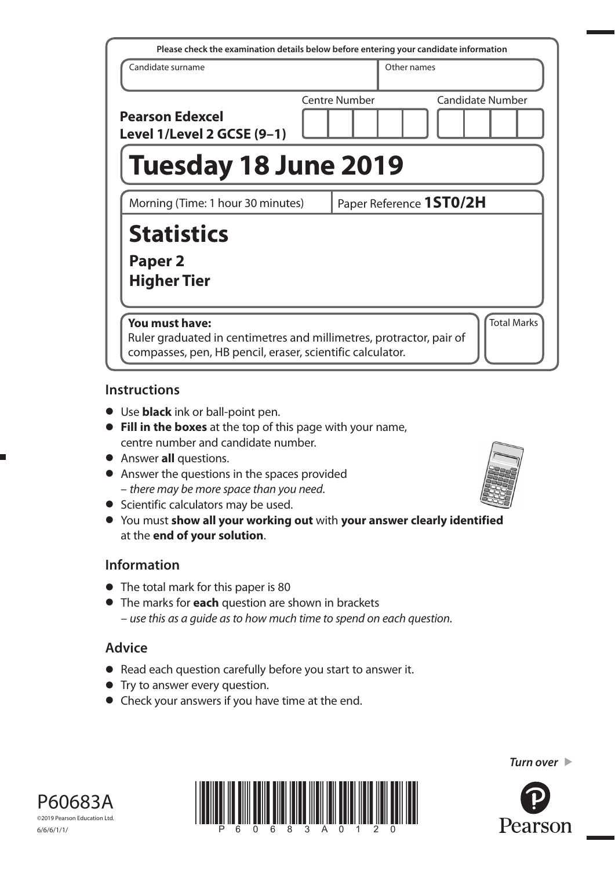| Please check the examination details below before entering your candidate information                                                                                    |  |                      |             |                         |  |
|--------------------------------------------------------------------------------------------------------------------------------------------------------------------------|--|----------------------|-------------|-------------------------|--|
| Candidate surname                                                                                                                                                        |  |                      | Other names |                         |  |
| <b>Pearson Edexcel</b><br>Level 1/Level 2 GCSE (9-1)                                                                                                                     |  | <b>Centre Number</b> |             | <b>Candidate Number</b> |  |
| <b>Tuesday 18 June 2019</b>                                                                                                                                              |  |                      |             |                         |  |
| Morning (Time: 1 hour 30 minutes)                                                                                                                                        |  |                      |             | Paper Reference 1ST0/2H |  |
| <b>Statistics</b>                                                                                                                                                        |  |                      |             |                         |  |
| Paper <sub>2</sub><br><b>Higher Tier</b>                                                                                                                                 |  |                      |             |                         |  |
| <b>Total Marks</b><br>You must have:<br>Ruler graduated in centimetres and millimetres, protractor, pair of<br>compasses, pen, HB pencil, eraser, scientific calculator. |  |                      |             |                         |  |

### **Instructions**

- Use **black** ink or ball-point pen.
- **Fill in the boxes** at the top of this page with your name, centre number and candidate number.
- Answer **all** questions.
- Answer the questions in the spaces provided – there may be more space than you need.
- Scientific calculators may be used.
- You must **show all your working out** with **your answer clearly identified** at the **end of your solution**.

### **Information**

- The total mark for this paper is 80
- The marks for **each** question are shown in brackets – use this as a guide as to how much time to spend on each question.

# **Advice**

- Read each question carefully before you start to answer it.
- Try to answer every question.
- Check your answers if you have time at the end.



*Turn over* 





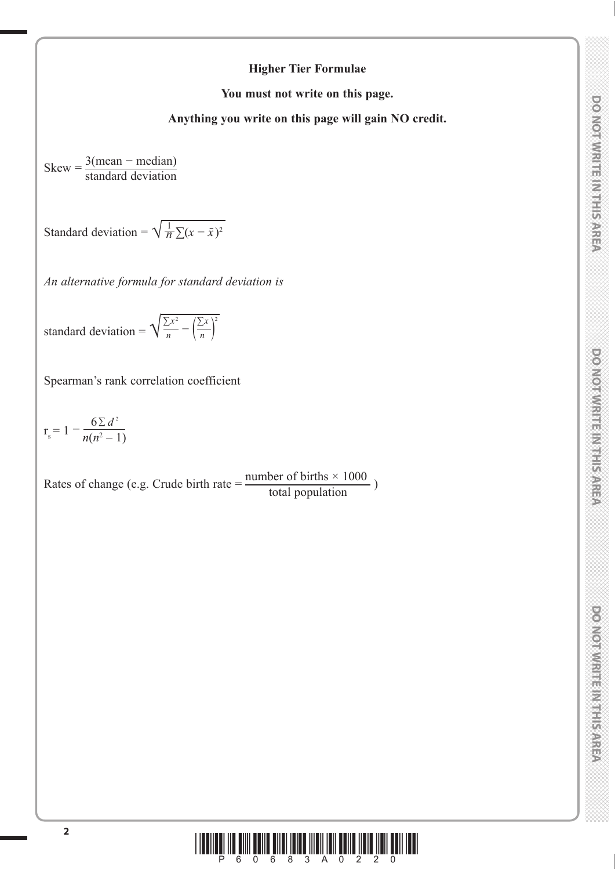## **Higher Tier Formulae**

**You must not write on this page.**

**Anything you write on this page will gain NO credit.**

 $Skew = \frac{3(mean - median)}{1 + 1 + 1}$ standard deviation

Standard deviation =  $\sqrt{\frac{1}{n} \sum (x - \bar{x})^2}$ 

*An alternative formula for standard deviation is*

standard deviation =  $\sqrt{\frac{\sum x^2}{n} - (\frac{\sum x}{n})^2}$ 

Spearman's rank correlation coefficient

$$
r_s = 1 - \frac{6\sum d^2}{n(n^2 - 1)}
$$

Rates of change (e.g. Crude birth rate  $=$   $\frac{\text{number of births} \times 1000}{\text{total population}}$ )

2

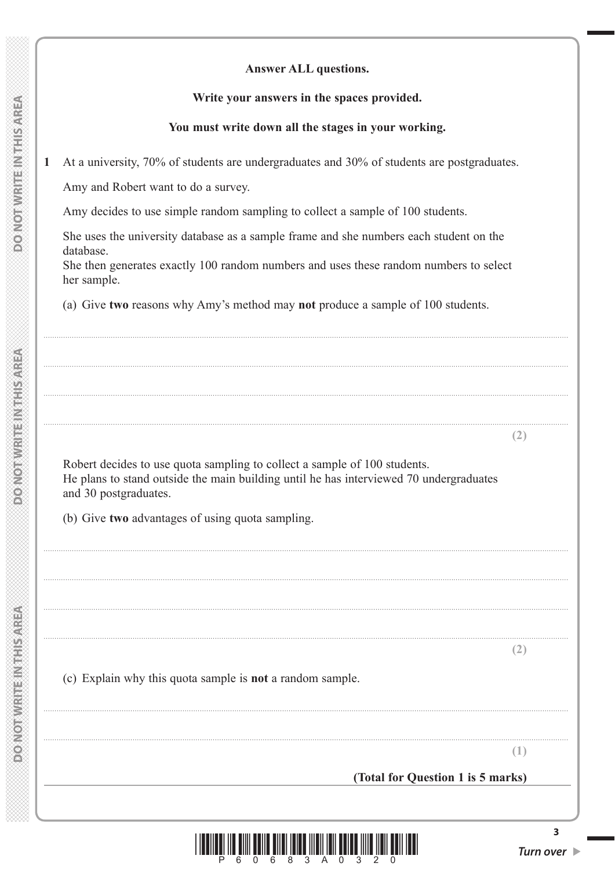#### **Answer ALL questions.**

#### Write your answers in the spaces provided.

### You must write down all the stages in your working.

At a university, 70% of students are undergraduates and 30% of students are postgraduates.  $\mathbf 1$ 

Amy and Robert want to do a survey.

Amy decides to use simple random sampling to collect a sample of 100 students.

She uses the university database as a sample frame and she numbers each student on the database.

She then generates exactly 100 random numbers and uses these random numbers to select her sample.

(a) Give two reasons why Amy's method may not produce a sample of 100 students.

Robert decides to use quota sampling to collect a sample of 100 students. He plans to stand outside the main building until he has interviewed 70 undergraduates and 30 postgraduates.

(b) Give two advantages of using quota sampling.

 $(2)$ 

 $(2)$ 

(c) Explain why this quota sample is **not** a random sample.

 $(1)$ 

(Total for Question 1 is 5 marks)

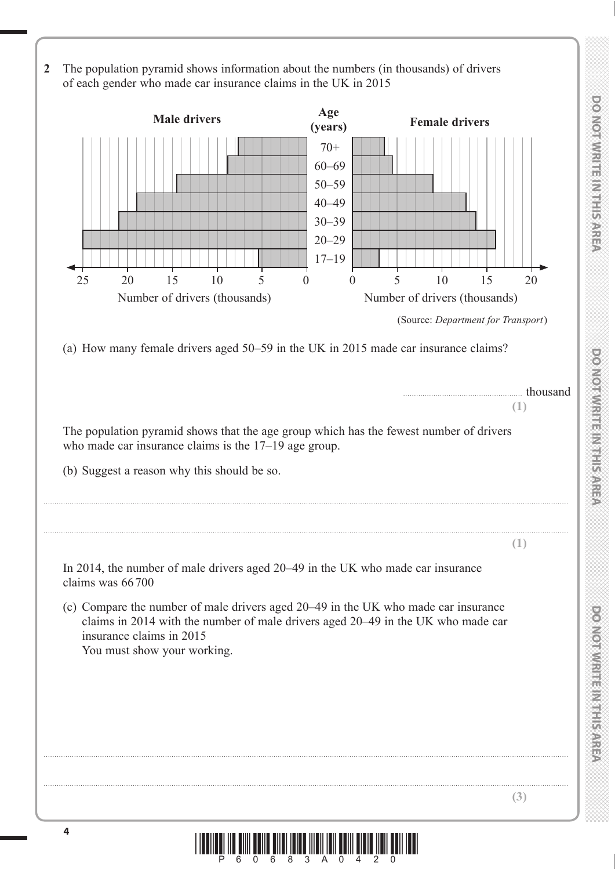**DO NOT WRITE IN THE IN THIS AREA DO NOT WRITE IN THIS AREA DO NOT WRITE IN THIS AREA DO NOT WRITE IN THIS AREA DO NOT WRITE IN THE INTERNATIONAL CONTINUES. THE INTERNATIONAL CONTINUES.** 

\*P60683A0420\*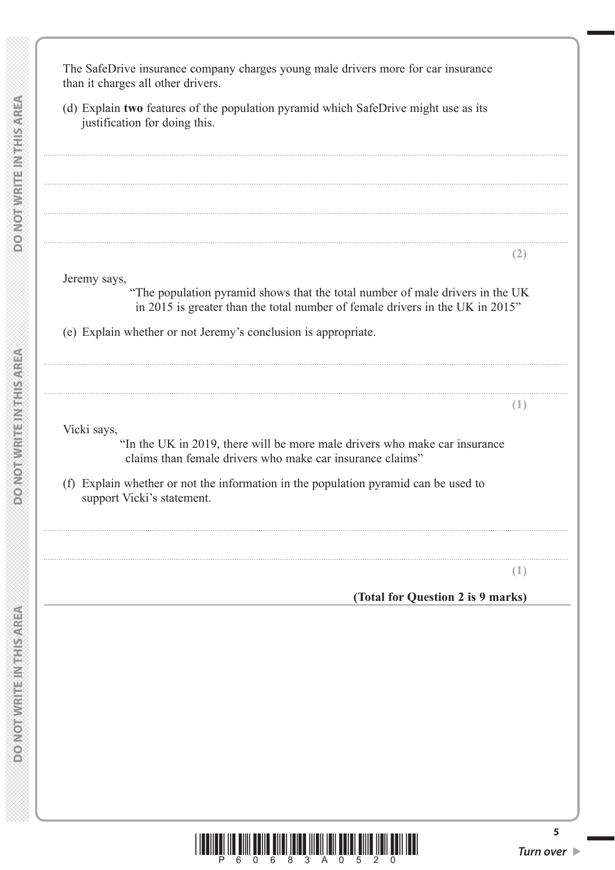



5

**MEETH START AND AND AND AND A** 

**MERICAN DISTRICTION OF STREET**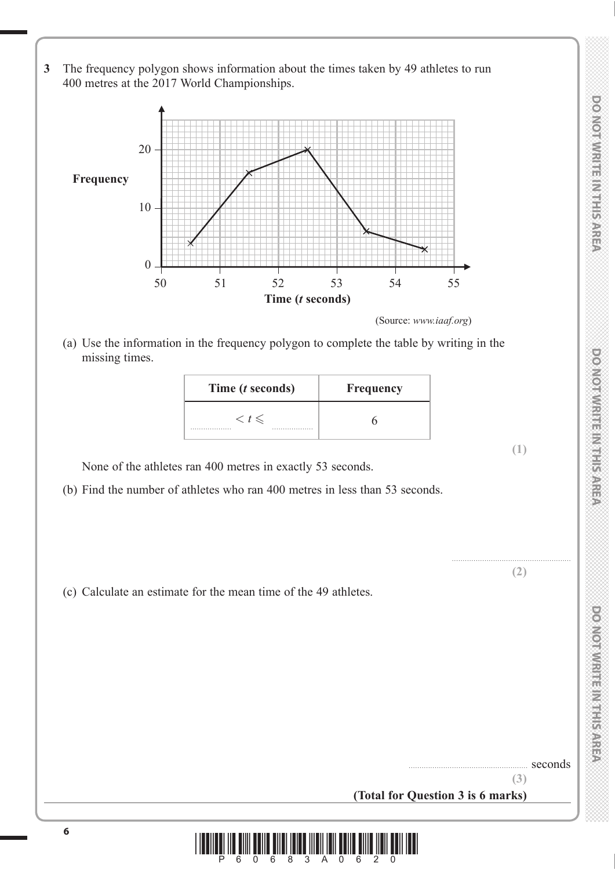**3** The frequency polygon shows information about the times taken by 49 athletes to run 400 metres at the 2017 World Championships.



(Source: *www.iaaf.org*)

 (a) Use the information in the frequency polygon to complete the table by writing in the missing times.

| Time ( <i>t</i> seconds) | Frequency |
|--------------------------|-----------|
| $\lt t \leq$<br>.<br>.   |           |

None of the athletes ran 400 metres in exactly 53 seconds.

- (b) Find the number of athletes who ran 400 metres in less than 53 seconds.
- (c) Calculate an estimate for the mean time of the 49 athletes.



**DO NOT WRITE IN THIS AREA** 

**(1)**

....................................................... **(2)**

seconds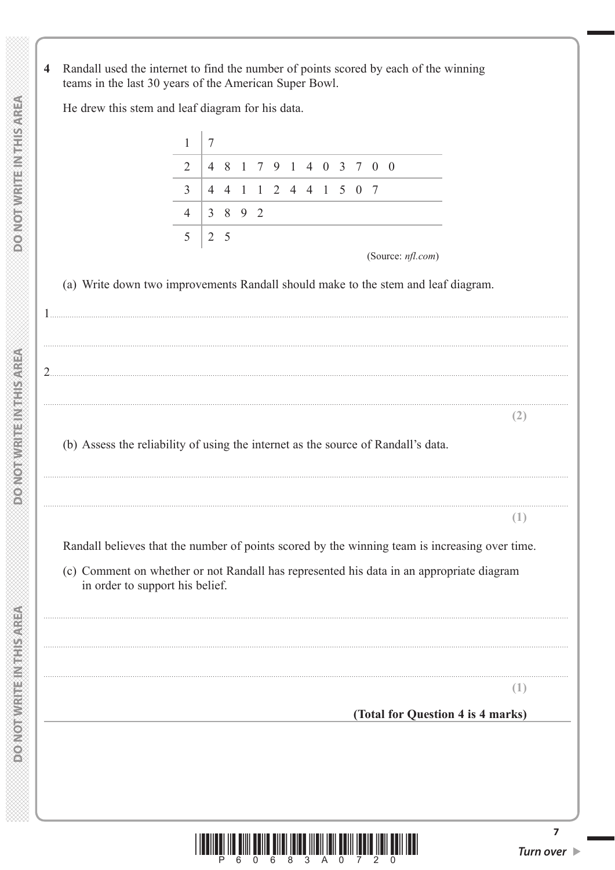Randall used the internet to find the number of points scored by each of the winning  $\overline{\mathbf{4}}$ teams in the last 30 years of the American Super Bowl.

He drew this stem and leaf diagram for his data.

| $\mathbf{1}$   |                 |                |                                                                     |                |         |                   |  |  |                 |                                                                                                                                                                                                                                                                                                                                                                                           |
|----------------|-----------------|----------------|---------------------------------------------------------------------|----------------|---------|-------------------|--|--|-----------------|-------------------------------------------------------------------------------------------------------------------------------------------------------------------------------------------------------------------------------------------------------------------------------------------------------------------------------------------------------------------------------------------|
|                | $7\phantom{.0}$ |                |                                                                     |                |         |                   |  |  |                 |                                                                                                                                                                                                                                                                                                                                                                                           |
| 2              |                 | 481            |                                                                     |                |         | 7 9 1 4 0 3 7 0 0 |  |  |                 |                                                                                                                                                                                                                                                                                                                                                                                           |
| $\overline{3}$ |                 | $\overline{4}$ |                                                                     |                |         |                   |  |  |                 |                                                                                                                                                                                                                                                                                                                                                                                           |
| $\overline{4}$ |                 |                |                                                                     |                |         |                   |  |  |                 |                                                                                                                                                                                                                                                                                                                                                                                           |
|                |                 |                |                                                                     |                |         |                   |  |  |                 |                                                                                                                                                                                                                                                                                                                                                                                           |
|                |                 |                |                                                                     |                |         |                   |  |  |                 |                                                                                                                                                                                                                                                                                                                                                                                           |
|                |                 |                |                                                                     |                |         |                   |  |  |                 |                                                                                                                                                                                                                                                                                                                                                                                           |
|                |                 |                |                                                                     |                |         |                   |  |  |                 |                                                                                                                                                                                                                                                                                                                                                                                           |
|                |                 |                |                                                                     |                |         |                   |  |  |                 |                                                                                                                                                                                                                                                                                                                                                                                           |
|                |                 |                |                                                                     |                |         |                   |  |  |                 |                                                                                                                                                                                                                                                                                                                                                                                           |
|                |                 |                |                                                                     |                |         |                   |  |  |                 | (2)                                                                                                                                                                                                                                                                                                                                                                                       |
|                |                 |                |                                                                     |                |         |                   |  |  |                 |                                                                                                                                                                                                                                                                                                                                                                                           |
|                |                 |                |                                                                     |                |         |                   |  |  |                 |                                                                                                                                                                                                                                                                                                                                                                                           |
|                |                 |                |                                                                     |                |         |                   |  |  |                 |                                                                                                                                                                                                                                                                                                                                                                                           |
|                |                 |                |                                                                     |                |         |                   |  |  |                 | (1)                                                                                                                                                                                                                                                                                                                                                                                       |
|                |                 |                |                                                                     |                |         |                   |  |  |                 |                                                                                                                                                                                                                                                                                                                                                                                           |
|                |                 |                |                                                                     |                |         |                   |  |  |                 |                                                                                                                                                                                                                                                                                                                                                                                           |
|                |                 |                |                                                                     |                |         |                   |  |  |                 |                                                                                                                                                                                                                                                                                                                                                                                           |
|                |                 |                |                                                                     |                |         |                   |  |  |                 |                                                                                                                                                                                                                                                                                                                                                                                           |
|                |                 |                |                                                                     |                |         |                   |  |  |                 |                                                                                                                                                                                                                                                                                                                                                                                           |
|                |                 |                |                                                                     |                |         |                   |  |  |                 |                                                                                                                                                                                                                                                                                                                                                                                           |
|                |                 |                |                                                                     |                |         |                   |  |  |                 |                                                                                                                                                                                                                                                                                                                                                                                           |
|                |                 |                |                                                                     |                |         |                   |  |  |                 | (1)                                                                                                                                                                                                                                                                                                                                                                                       |
|                | 5               |                | $\overline{4}$<br>2 <sub>5</sub><br>in order to support his belief. | $\overline{1}$ | 3 8 9 2 |                   |  |  | 1 2 4 4 1 5 0 7 | (Source: nfl.com)<br>(a) Write down two improvements Randall should make to the stem and leaf diagram.<br>(b) Assess the reliability of using the internet as the source of Randall's data.<br>Randall believes that the number of points scored by the winning team is increasing over time.<br>(c) Comment on whether or not Randall has represented his data in an appropriate diagram |



 $\overline{7}$ 

**DOMOTIVRITE IN THIS AREA** 

**DO NOT WRITEIN THIS AREA**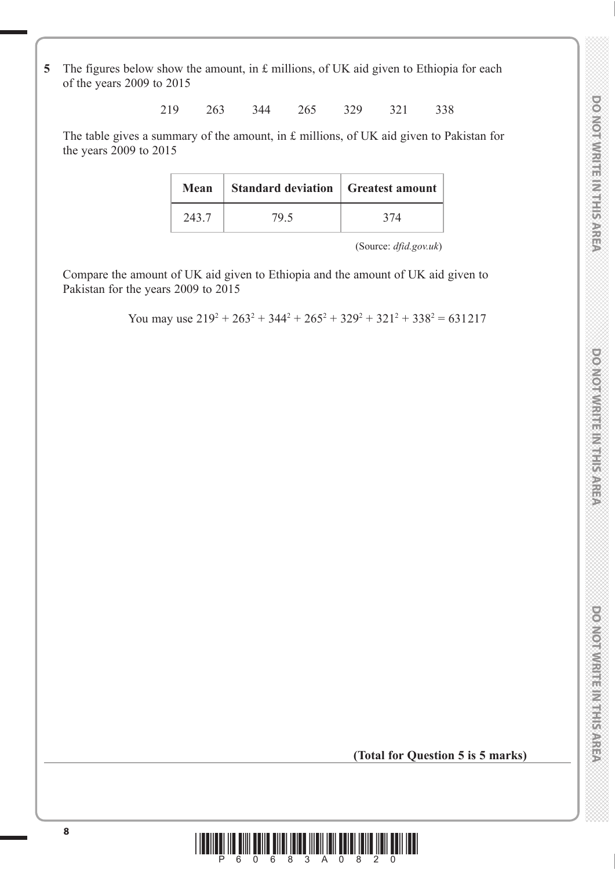DO NOT WRITE IN THIS AREA

**5** The figures below show the amount, in £ millions, of UK aid given to Ethiopia for each of the years 2009 to 2015

219 263 344 265 329 321 338

 The table gives a summary of the amount, in £ millions, of UK aid given to Pakistan for the years 2009 to 2015

| Mean  | <b>Standard deviation   Greatest amount  </b> |     |
|-------|-----------------------------------------------|-----|
| 243.7 | 79.5                                          | 374 |

(Source: *dfid.gov.uk*)

 Compare the amount of UK aid given to Ethiopia and the amount of UK aid given to Pakistan for the years 2009 to 2015

You may use  $219^2 + 263^2 + 344^2 + 265^2 + 329^2 + 321^2 + 338^2 = 631217$ 

**(Total for Question 5 is 5 marks)**

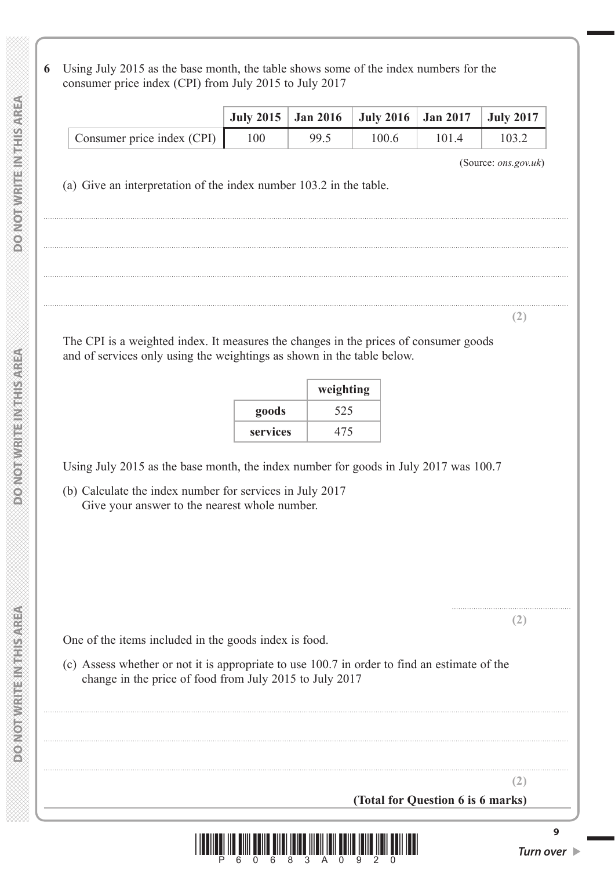**6** Using July 2015 as the base month, the table shows some of the index numbers for the consumer price index (CPI) from July 2015 to July 2017

|                              |     |      | July 2015   Jan 2016   July 2016   Jan 2017   July 2017 |       |       |
|------------------------------|-----|------|---------------------------------------------------------|-------|-------|
| Consumer price index $(CPI)$ | 100 | 99.5 | 100.6                                                   | 101.4 | 103.2 |

..................................................................................................................................................................................................................................................

..................................................................................................................................................................................................................................................

..................................................................................................................................................................................................................................................

..................................................................................................................................................................................................................................................

(Source: *ons.gov.uk*)

**(2)**

....................................................... **(2)**

**(2)**

(a) Give an interpretation of the index number 103.2 in the table.

 The CPI is a weighted index. It measures the changes in the prices of consumer goods and of services only using the weightings as shown in the table below.

|          | weighting |
|----------|-----------|
| goods    | 525       |
| services | 475       |

Using July 2015 as the base month, the index number for goods in July 2017 was 100.7

 (b) Calculate the index number for services in July 2017 Give your answer to the nearest whole number.

.................................................................................................................................................................................................................................................. .................................................................................................................................................................................................................................................. ..................................................................................................................................................................................................................................................

One of the items included in the goods index is food.

 (c) Assess whether or not it is appropriate to use 100.7 in order to find an estimate of the change in the price of food from July 2015 to July 2017

**(Total for Question 6 is 6 marks)**

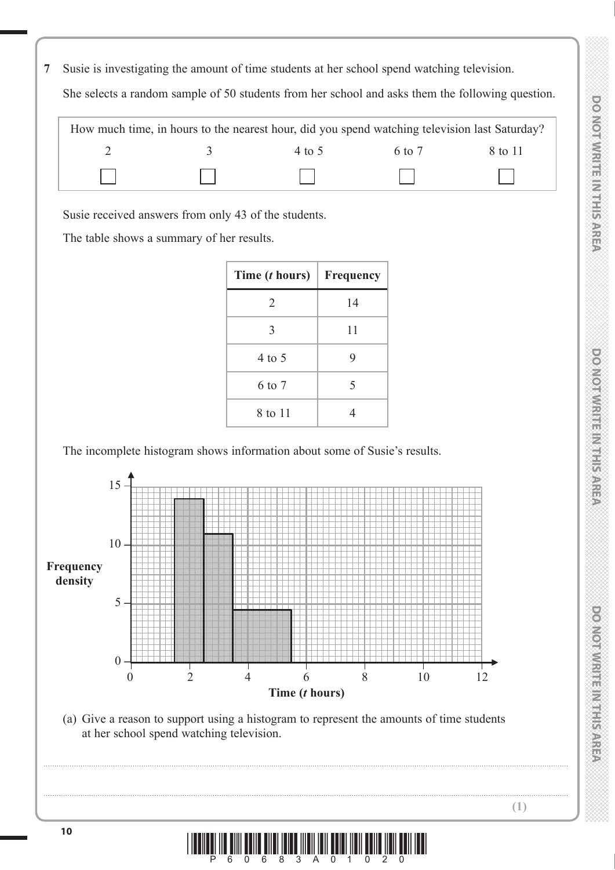**7** Susie is investigating the amount of time students at her school spend watching television.

She selects a random sample of 50 students from her school and asks them the following question.

|       |          | How much time, in hours to the nearest hour, did you spend watching television last Saturday? |                            |         |
|-------|----------|-----------------------------------------------------------------------------------------------|----------------------------|---------|
|       | $\sim$ 4 | 4 to 5                                                                                        | 6 to 7                     | 8 to 11 |
| $\pm$ |          | and the property of the contract of                                                           | and the state of the state |         |

Susie received answers from only 43 of the students.

The table shows a summary of her results.

| Time ( <i>t</i> hours) | Frequency |
|------------------------|-----------|
| 2                      | 14        |
| 3                      | 11        |
| $4$ to 5               | 9         |
| 6 to 7                 | 5         |
| 8 to 11                |           |

The incomplete histogram shows information about some of Susie's results.



 (a) Give a reason to support using a histogram to represent the amounts of time students at her school spend watching television.



..................................................................................................................................................................................................................................................

..................................................................................................................................................................................................................................................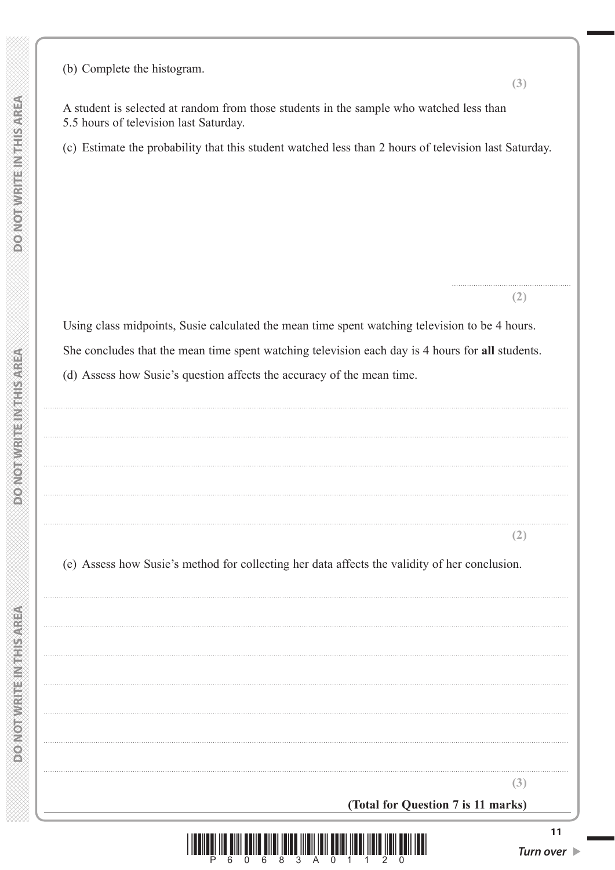|  |   | ⋐                  |   |  |  |  |
|--|---|--------------------|---|--|--|--|
|  |   | na<br>Ge           |   |  |  |  |
|  |   |                    |   |  |  |  |
|  |   |                    |   |  |  |  |
|  |   |                    |   |  |  |  |
|  |   |                    |   |  |  |  |
|  |   |                    |   |  |  |  |
|  |   |                    |   |  |  |  |
|  |   | €                  |   |  |  |  |
|  |   |                    |   |  |  |  |
|  |   |                    |   |  |  |  |
|  |   |                    |   |  |  |  |
|  |   | ig<br>T            |   |  |  |  |
|  |   |                    |   |  |  |  |
|  |   |                    |   |  |  |  |
|  |   |                    |   |  |  |  |
|  |   |                    |   |  |  |  |
|  |   |                    |   |  |  |  |
|  |   |                    |   |  |  |  |
|  |   |                    |   |  |  |  |
|  |   |                    |   |  |  |  |
|  |   |                    |   |  |  |  |
|  |   |                    |   |  |  |  |
|  |   |                    |   |  |  |  |
|  |   | ar<br>K            |   |  |  |  |
|  |   |                    |   |  |  |  |
|  | 当 |                    | ¥ |  |  |  |
|  |   |                    |   |  |  |  |
|  |   | €                  |   |  |  |  |
|  |   |                    |   |  |  |  |
|  |   |                    |   |  |  |  |
|  |   |                    |   |  |  |  |
|  |   |                    |   |  |  |  |
|  |   | Ļ.                 |   |  |  |  |
|  |   |                    |   |  |  |  |
|  |   |                    |   |  |  |  |
|  |   |                    |   |  |  |  |
|  |   | m                  |   |  |  |  |
|  |   |                    |   |  |  |  |
|  |   |                    |   |  |  |  |
|  |   |                    |   |  |  |  |
|  |   |                    |   |  |  |  |
|  |   |                    |   |  |  |  |
|  |   | $\frac{1}{\alpha}$ |   |  |  |  |
|  |   |                    |   |  |  |  |
|  |   |                    |   |  |  |  |
|  | Ì |                    |   |  |  |  |
|  |   |                    |   |  |  |  |
|  | è |                    |   |  |  |  |
|  |   |                    |   |  |  |  |
|  |   |                    |   |  |  |  |
|  |   | M                  |   |  |  |  |
|  |   |                    |   |  |  |  |
|  |   |                    |   |  |  |  |
|  |   |                    |   |  |  |  |
|  |   |                    |   |  |  |  |
|  |   |                    |   |  |  |  |
|  |   |                    |   |  |  |  |
|  | é |                    |   |  |  |  |
|  |   |                    |   |  |  |  |
|  |   |                    |   |  |  |  |
|  |   |                    |   |  |  |  |
|  |   |                    |   |  |  |  |
|  |   |                    |   |  |  |  |
|  |   | ã                  |   |  |  |  |
|  |   |                    |   |  |  |  |
|  |   |                    |   |  |  |  |
|  |   |                    |   |  |  |  |
|  |   |                    |   |  |  |  |
|  |   | M                  |   |  |  |  |
|  |   |                    |   |  |  |  |
|  |   |                    |   |  |  |  |
|  |   |                    |   |  |  |  |
|  |   |                    |   |  |  |  |
|  |   |                    |   |  |  |  |
|  |   |                    |   |  |  |  |

 $\bar{\alpha}$ 

 $\bar{\mathcal{A}}$ 

 $\ddotsc$ 

 $\bar{\mathcal{A}}$ 

 $\ddotsc$ 

 $\bar{\mathcal{A}}$ 

 $\bar{\beta}$ 

 $\ldots$ 

 $\cdot$ 

 $\ddot{\phantom{1}}$ 

|   |   |  | j  |
|---|---|--|----|
|   |   |  |    |
|   |   |  | S  |
|   |   |  |    |
|   |   |  | ֦  |
|   |   |  | ֦  |
|   |   |  |    |
|   | t |  |    |
|   |   |  |    |
|   |   |  |    |
|   |   |  |    |
|   |   |  |    |
|   |   |  |    |
|   | é |  |    |
|   |   |  |    |
|   |   |  |    |
|   |   |  |    |
|   |   |  |    |
|   |   |  |    |
|   |   |  | ş  |
|   | á |  |    |
|   |   |  | ֕  |
| j |   |  |    |
|   |   |  | l  |
|   | 至 |  |    |
|   |   |  |    |
|   |   |  |    |
|   |   |  | i  |
|   |   |  |    |
|   |   |  | ׇ֠ |
|   |   |  |    |
|   |   |  |    |
|   |   |  |    |
|   |   |  |    |
| j |   |  |    |
|   |   |  |    |
|   |   |  |    |
|   |   |  |    |
|   |   |  |    |
|   | ï |  |    |
|   |   |  |    |
| ĭ |   |  | ş  |
|   |   |  |    |
| ĭ |   |  | Ş  |
|   |   |  |    |
|   |   |  | j  |
|   |   |  |    |
|   |   |  | ֚  |
|   |   |  |    |
|   |   |  | ֦  |
|   |   |  |    |
|   |   |  |    |
|   |   |  |    |
|   |   |  |    |
|   |   |  |    |
|   |   |  |    |
|   |   |  |    |
|   |   |  |    |
|   |   |  |    |
|   |   |  |    |
|   |   |  |    |
|   |   |  |    |
|   |   |  |    |
|   |   |  |    |
|   |   |  |    |
|   |   |  |    |
|   |   |  |    |
|   |   |  |    |
|   |   |  |    |
|   |   |  |    |
|   |   |  |    |
|   |   |  |    |

www.www.www.ww

| (b) Complete the histogram.                                                                                                       | (3)                    |
|-----------------------------------------------------------------------------------------------------------------------------------|------------------------|
| A student is selected at random from those students in the sample who watched less than<br>5.5 hours of television last Saturday. |                        |
| (c) Estimate the probability that this student watched less than 2 hours of television last Saturday.                             |                        |
|                                                                                                                                   |                        |
|                                                                                                                                   |                        |
|                                                                                                                                   |                        |
|                                                                                                                                   |                        |
|                                                                                                                                   |                        |
|                                                                                                                                   | (2)                    |
| Using class midpoints, Susie calculated the mean time spent watching television to be 4 hours.                                    |                        |
| She concludes that the mean time spent watching television each day is 4 hours for all students.                                  |                        |
| (d) Assess how Susie's question affects the accuracy of the mean time.                                                            |                        |
|                                                                                                                                   |                        |
|                                                                                                                                   |                        |
|                                                                                                                                   |                        |
|                                                                                                                                   |                        |
|                                                                                                                                   |                        |
|                                                                                                                                   |                        |
|                                                                                                                                   | $\left 2\right\rangle$ |
| (e) Assess how Susie's method for collecting her data affects the validity of her conclusion.                                     |                        |
|                                                                                                                                   |                        |
|                                                                                                                                   |                        |
|                                                                                                                                   |                        |
|                                                                                                                                   |                        |
|                                                                                                                                   |                        |
|                                                                                                                                   |                        |
|                                                                                                                                   |                        |
|                                                                                                                                   |                        |
|                                                                                                                                   | (3)                    |

(Total for Question 7 is 11 marks)

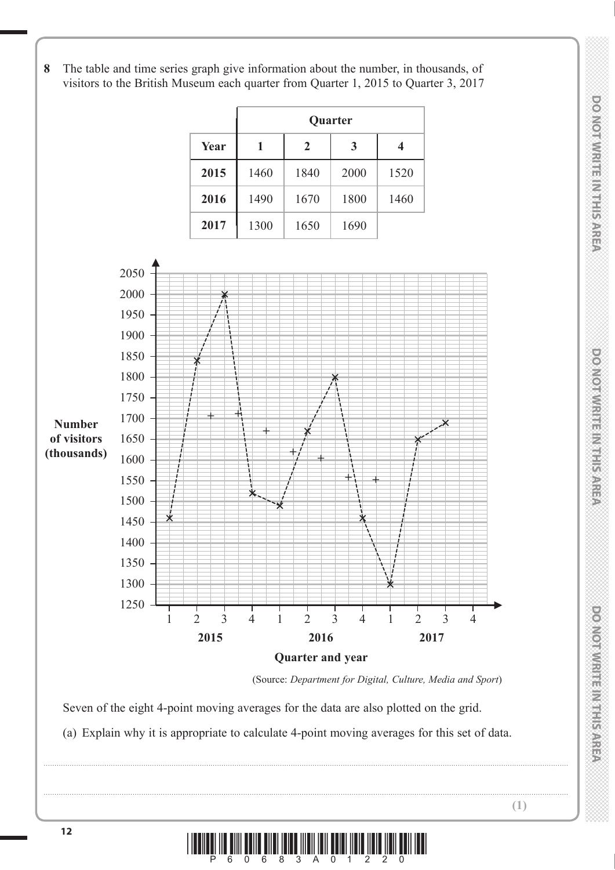**8** The table and time series graph give information about the number, in thousands, of visitors to the British Museum each quarter from Quarter 1, 2015 to Quarter 3, 2017





(Source: *Department for Digital, Culture, Media and Sport*)

Seven of the eight 4-point moving averages for the data are also plotted on the grid.

(a) Explain why it is appropriate to calculate 4-point moving averages for this set of data.



..................................................................................................................................................................................................................................................

..................................................................................................................................................................................................................................................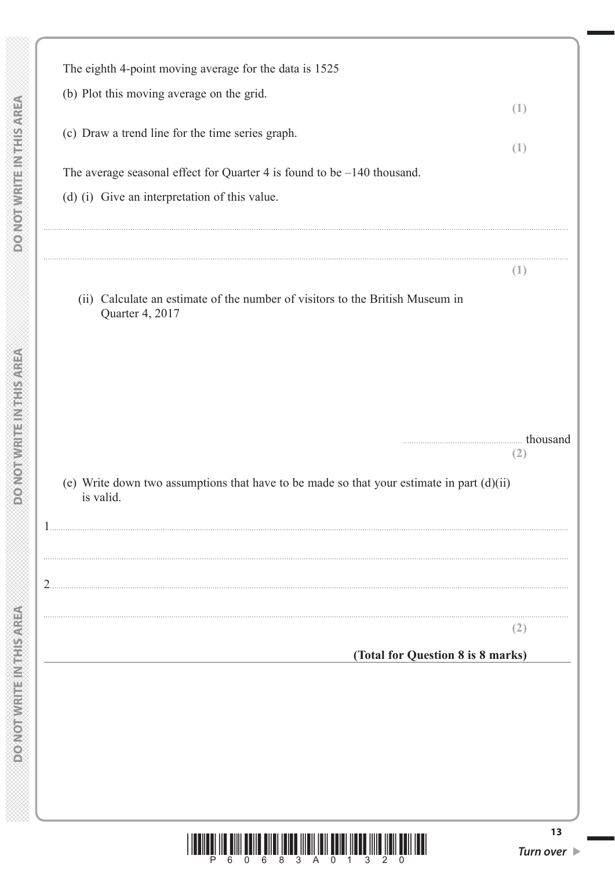| ×                                                                                                                                                                                                                              |  |
|--------------------------------------------------------------------------------------------------------------------------------------------------------------------------------------------------------------------------------|--|
|                                                                                                                                                                                                                                |  |
|                                                                                                                                                                                                                                |  |
|                                                                                                                                                                                                                                |  |
|                                                                                                                                                                                                                                |  |
|                                                                                                                                                                                                                                |  |
|                                                                                                                                                                                                                                |  |
|                                                                                                                                                                                                                                |  |
|                                                                                                                                                                                                                                |  |
|                                                                                                                                                                                                                                |  |
| ≫                                                                                                                                                                                                                              |  |
|                                                                                                                                                                                                                                |  |
| Š                                                                                                                                                                                                                              |  |
|                                                                                                                                                                                                                                |  |
|                                                                                                                                                                                                                                |  |
|                                                                                                                                                                                                                                |  |
|                                                                                                                                                                                                                                |  |
|                                                                                                                                                                                                                                |  |
|                                                                                                                                                                                                                                |  |
|                                                                                                                                                                                                                                |  |
|                                                                                                                                                                                                                                |  |
|                                                                                                                                                                                                                                |  |
|                                                                                                                                                                                                                                |  |
|                                                                                                                                                                                                                                |  |
|                                                                                                                                                                                                                                |  |
|                                                                                                                                                                                                                                |  |
|                                                                                                                                                                                                                                |  |
|                                                                                                                                                                                                                                |  |
|                                                                                                                                                                                                                                |  |
|                                                                                                                                                                                                                                |  |
|                                                                                                                                                                                                                                |  |
|                                                                                                                                                                                                                                |  |
| Variations are all the company of the company of the company of the company of the company of the company of the company of the company of the company of the company of the company of the company of the company of the comp |  |
|                                                                                                                                                                                                                                |  |
|                                                                                                                                                                                                                                |  |
|                                                                                                                                                                                                                                |  |
|                                                                                                                                                                                                                                |  |
|                                                                                                                                                                                                                                |  |
|                                                                                                                                                                                                                                |  |
|                                                                                                                                                                                                                                |  |
|                                                                                                                                                                                                                                |  |
|                                                                                                                                                                                                                                |  |
|                                                                                                                                                                                                                                |  |
|                                                                                                                                                                                                                                |  |
|                                                                                                                                                                                                                                |  |
|                                                                                                                                                                                                                                |  |
|                                                                                                                                                                                                                                |  |
|                                                                                                                                                                                                                                |  |
|                                                                                                                                                                                                                                |  |
|                                                                                                                                                                                                                                |  |
|                                                                                                                                                                                                                                |  |
|                                                                                                                                                                                                                                |  |
|                                                                                                                                                                                                                                |  |
|                                                                                                                                                                                                                                |  |
|                                                                                                                                                                                                                                |  |
|                                                                                                                                                                                                                                |  |
|                                                                                                                                                                                                                                |  |
|                                                                                                                                                                                                                                |  |
|                                                                                                                                                                                                                                |  |
|                                                                                                                                                                                                                                |  |
|                                                                                                                                                                                                                                |  |
|                                                                                                                                                                                                                                |  |
|                                                                                                                                                                                                                                |  |
|                                                                                                                                                                                                                                |  |
|                                                                                                                                                                                                                                |  |
|                                                                                                                                                                                                                                |  |
|                                                                                                                                                                                                                                |  |
|                                                                                                                                                                                                                                |  |
|                                                                                                                                                                                                                                |  |
|                                                                                                                                                                                                                                |  |
|                                                                                                                                                                                                                                |  |
|                                                                                                                                                                                                                                |  |
|                                                                                                                                                                                                                                |  |
|                                                                                                                                                                                                                                |  |
|                                                                                                                                                                                                                                |  |
|                                                                                                                                                                                                                                |  |
|                                                                                                                                                                                                                                |  |
|                                                                                                                                                                                                                                |  |
|                                                                                                                                                                                                                                |  |
|                                                                                                                                                                                                                                |  |
|                                                                                                                                                                                                                                |  |
|                                                                                                                                                                                                                                |  |
|                                                                                                                                                                                                                                |  |
|                                                                                                                                                                                                                                |  |
|                                                                                                                                                                                                                                |  |
|                                                                                                                                                                                                                                |  |
|                                                                                                                                                                                                                                |  |
| Ž<br>Î                                                                                                                                                                                                                         |  |
|                                                                                                                                                                                                                                |  |
|                                                                                                                                                                                                                                |  |
| $\stackrel{\sim}{\approx}$                                                                                                                                                                                                     |  |
|                                                                                                                                                                                                                                |  |
|                                                                                                                                                                                                                                |  |
|                                                                                                                                                                                                                                |  |
|                                                                                                                                                                                                                                |  |
|                                                                                                                                                                                                                                |  |
|                                                                                                                                                                                                                                |  |
|                                                                                                                                                                                                                                |  |
| to<br>G                                                                                                                                                                                                                        |  |
|                                                                                                                                                                                                                                |  |
|                                                                                                                                                                                                                                |  |
|                                                                                                                                                                                                                                |  |
|                                                                                                                                                                                                                                |  |
|                                                                                                                                                                                                                                |  |
|                                                                                                                                                                                                                                |  |
|                                                                                                                                                                                                                                |  |
|                                                                                                                                                                                                                                |  |
| Š<br>≫<br>î,                                                                                                                                                                                                                   |  |

|   | The eighth 4-point moving average for the data is 1525                                                   |     |
|---|----------------------------------------------------------------------------------------------------------|-----|
|   | (b) Plot this moving average on the grid.                                                                | (1) |
|   | (c) Draw a trend line for the time series graph.                                                         | (1) |
|   | The average seasonal effect for Quarter 4 is found to be $-140$ thousand.                                |     |
|   | (d) (i) Give an interpretation of this value.                                                            |     |
|   |                                                                                                          | (1) |
|   | (ii) Calculate an estimate of the number of visitors to the British Museum in<br>Quarter 4, 2017         |     |
|   |                                                                                                          |     |
|   |                                                                                                          |     |
|   | thousand                                                                                                 | (2) |
|   |                                                                                                          |     |
|   | (e) Write down two assumptions that have to be made so that your estimate in part $(d)(ii)$<br>is valid. |     |
|   |                                                                                                          |     |
| 2 |                                                                                                          |     |
|   |                                                                                                          | (2) |
|   | (Total for Question 8 is 8 marks)                                                                        |     |
|   |                                                                                                          |     |
|   |                                                                                                          |     |
|   |                                                                                                          |     |



 $13$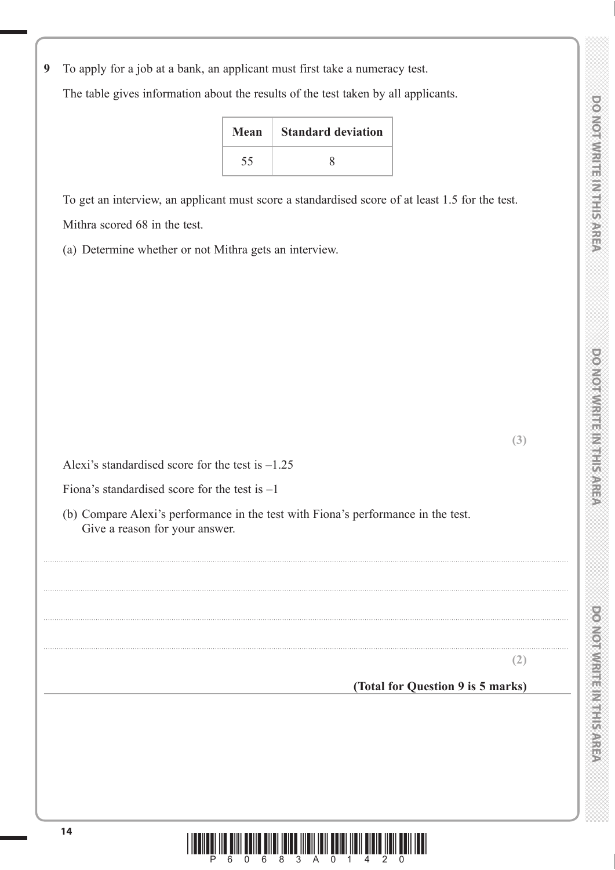**DOOMORATION CONSULTANT** 

**9** To apply for a job at a bank, an applicant must first take a numeracy test.

The table gives information about the results of the test taken by all applicants.

| Mean | <b>Standard deviation</b> |
|------|---------------------------|
| 55   |                           |

 To get an interview, an applicant must score a standardised score of at least 1.5 for the test. Mithra scored 68 in the test.

(a) Determine whether or not Mithra gets an interview.

**(3)**

Alexi's standardised score for the test is –1.25

Fiona's standardised score for the test is  $-1$ 

 (b) Compare Alexi's performance in the test with Fiona's performance in the test. Give a reason for your answer.

..................................................................................................................................................................................................................................................

..................................................................................................................................................................................................................................................

..................................................................................................................................................................................................................................................

..................................................................................................................................................................................................................................................



# **(Total for Question 9 is 5 marks)**

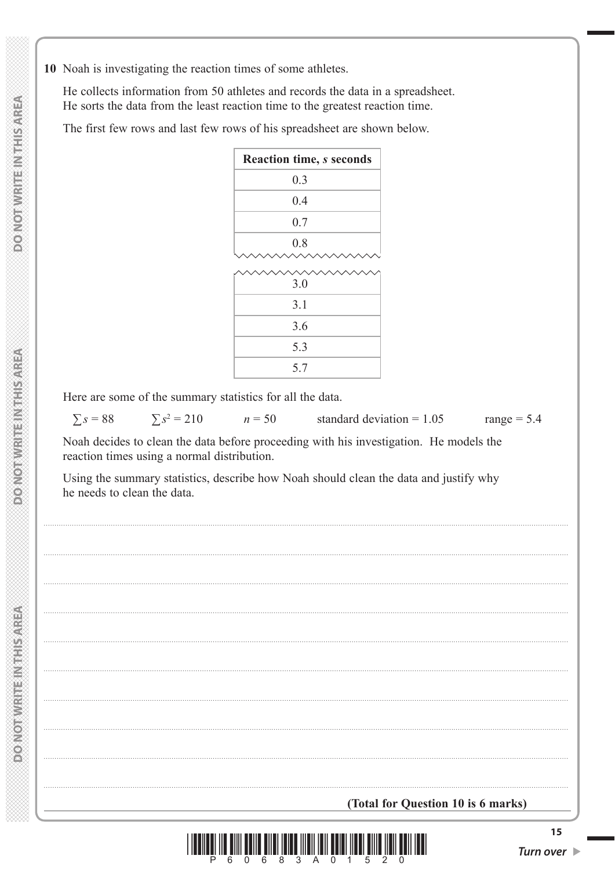10 Noah is investigating the reaction times of some athletes.

He collects information from 50 athletes and records the data in a spreadsheet. He sorts the data from the least reaction time to the greatest reaction time.

The first few rows and last few rows of his spreadsheet are shown below.

| Reaction time, s seconds |  |  |
|--------------------------|--|--|
| 0.3                      |  |  |
| 0.4                      |  |  |
| 0.7                      |  |  |
| 0.8                      |  |  |
|                          |  |  |
| 3.0                      |  |  |
| 3.1                      |  |  |
| 3.6                      |  |  |
| 5.3                      |  |  |
| 5.7                      |  |  |

Here are some of the summary statistics for all the data.

 $\Sigma s = 88$  $\sum s^2 = 210$  standard deviation =  $1.05$ 

range =  $5.4$ 

Noah decides to clean the data before proceeding with his investigation. He models the reaction times using a normal distribution.

 $n = 50$ 

Using the summary statistics, describe how Noah should clean the data and justify why he needs to clean the data.



 $15$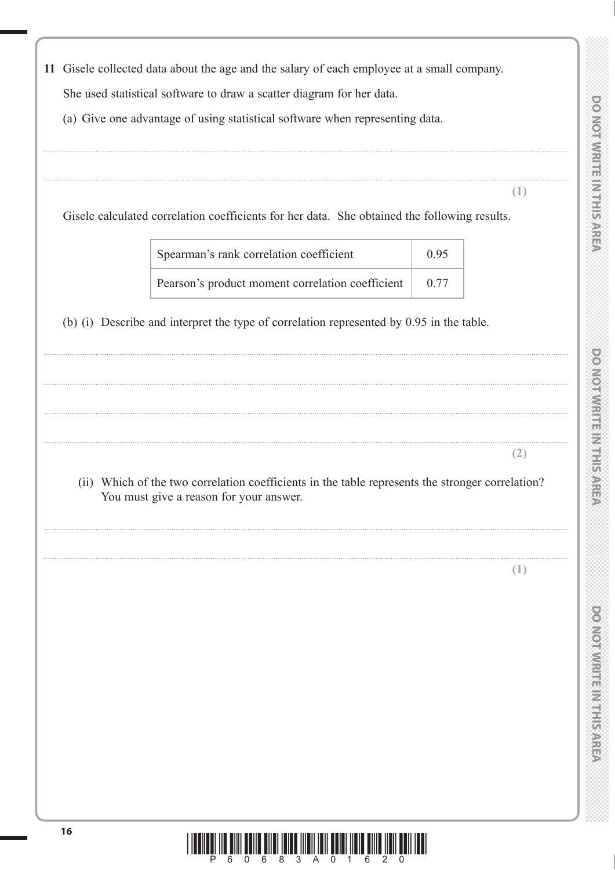**DOONOOTMRITERINGS** 



11 Gisele collected data about the age and the salary of each employee at a small company.

She used statistical software to draw a scatter diagram for her data.

(a) Give one advantage of using statistical software when representing data.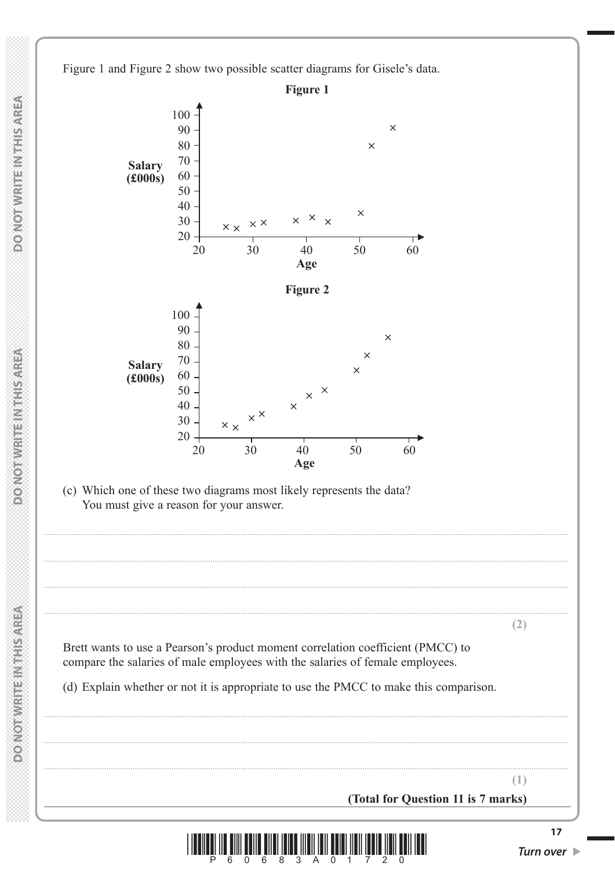Figure 1 and Figure 2 show two possible scatter diagrams for Gisele's data.





Turn over  $\blacktriangleright$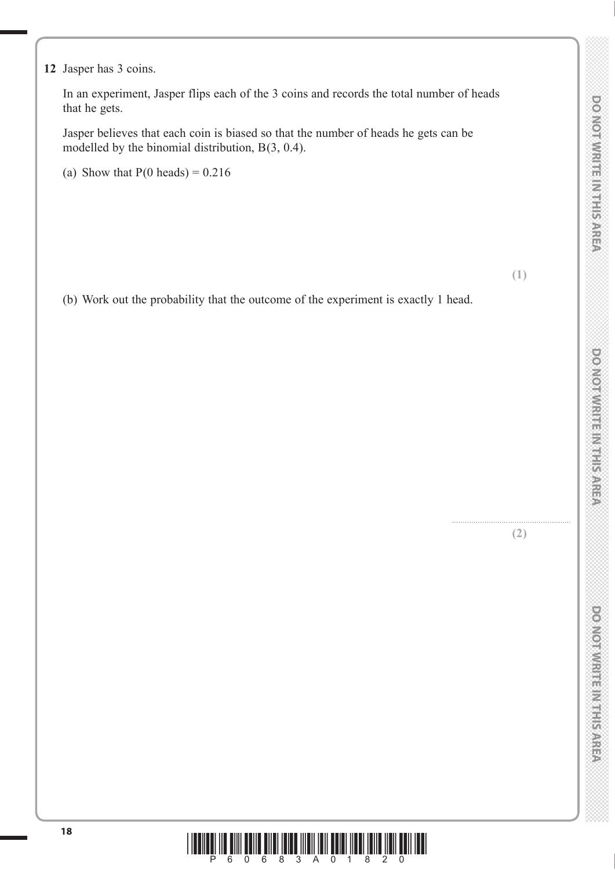#### **12** Jasper has 3 coins.

 In an experiment, Jasper flips each of the 3 coins and records the total number of heads that he gets.

 Jasper believes that each coin is biased so that the number of heads he gets can be modelled by the binomial distribution, B(3, 0.4).

(a) Show that  $P(0 \text{ heads}) = 0.216$ 

**(1)**

(b) Work out the probability that the outcome of the experiment is exactly 1 head.

....................................................... **(2)**

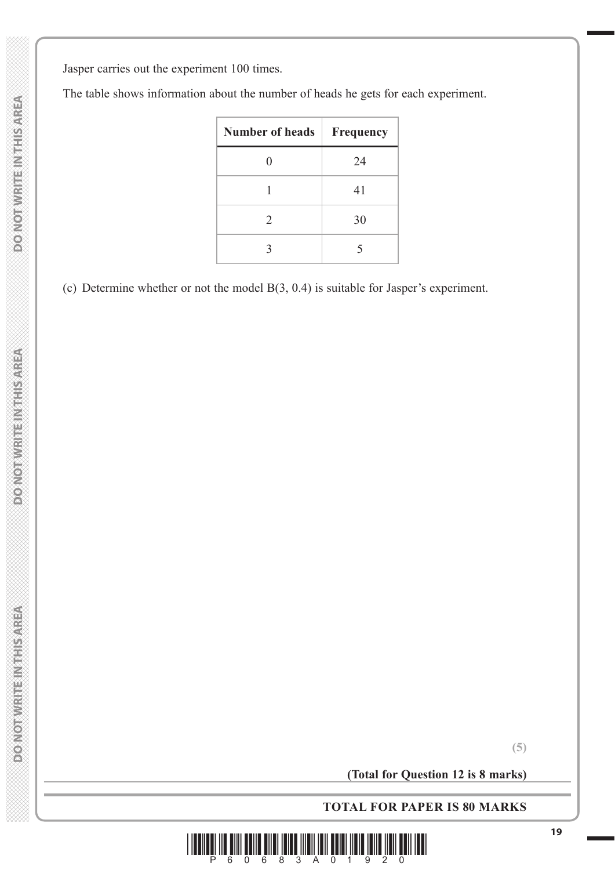Jasper carries out the experiment 100 times.

The table shows information about the number of heads he gets for each experiment.

| <b>Number of heads</b> | Frequency   |
|------------------------|-------------|
| 0                      | 24          |
|                        | 41          |
| 2                      | 30          |
| 3                      | $\varsigma$ |

(c) Determine whether or not the model B(3, 0.4) is suitable for Jasper's experiment.

**(Total for Question 12 is 8 marks)**

**TOTAL FOR PAPER IS 80 MARKS**